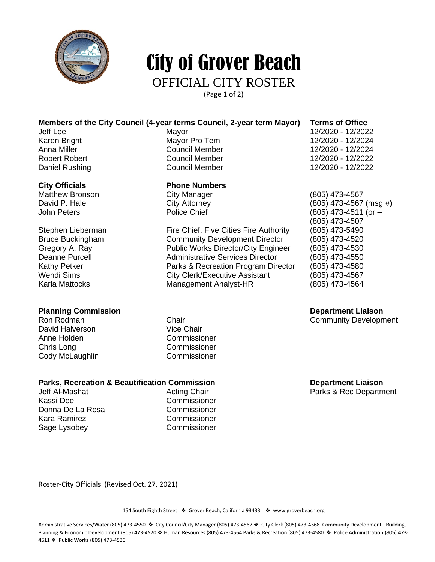

# City of Grover Beach

#### OFFICIAL CITY ROSTER

(Page 1 of 2)

#### **Members of the City Council (4-year terms Council, 2-year term Mayor) Terms of Office**

#### **City Officials Phone Numbers**

Matthew Bronson City Manager (805) 473-4567

Stephen Lieberman Fire Chief, Five Cities Fire Authority (805) 473-5490 Bruce Buckingham **Community Development Director** (805) 473-4520<br>Gregory A. Ray **Community Development Director** (805) 473-4530 Deanne Purcell Administrative Services Director (805) 473-4550 Kathy Petker **Parks & Recreation Program Director** (805) 473-4580 Wendi Sims City Clerk/Executive Assistant (805) 473-4567 Karla Mattocks **Management Analyst-HR** (805) 473-4564

David Halverson Anne Holden Commissioner Chris Long Commissioner Cody McLaughlin Commissioner

### **Parks, Recreation & Beautification Commission**<br>Jeff Al-Mashat **Acting Chair** Acting Chair **Department Liaison**<br>Parks & Rec Departm

Kassi Dee Commissioner Donna De La Rosa Commissioner Kara Ramirez **Commissioner** Sage Lysobey Commissioner

Jeff Lee Mayor 12/2020 - 12/2022 Karen Bright Mayor Pro Tem 12/2020 - 12/2024 12/2020 - 12/2024 Robert Robert Council Member 12/2020 - 12/2022 Daniel Rushing **Council Member** 2012/2020 - 12/2022

 $City$  Attorney  $(805)$  473-4567 (msg  $#$ ) John Peters Police Chief (805) 473-4511 (or – (805) 473-4507 Public Works Director/City Engineer (805) 473-4530

**Planning Commission Department Liaison**

Chair Chair Community Development<br>Vice Chair

Parks & Rec Department

Roster-City Officials (Revised Oct. 27, 2021)

154 South Eighth Street ❖ Grover Beach, California 93433 ❖ www.groverbeach.org

Administrative Services/Water (805) 473-4550 ❖ City Council/City Manager (805) 473-4567 ❖ City Clerk (805) 473-4568 Community Development - Building, Planning & Economic Development (805) 473-4520 ◆ Human Resources (805) 473-4564 Parks & Recreation (805) 473-4580 ◆ Police Administration (805) 473-4511 ❖ Public Works (805) 473-4530